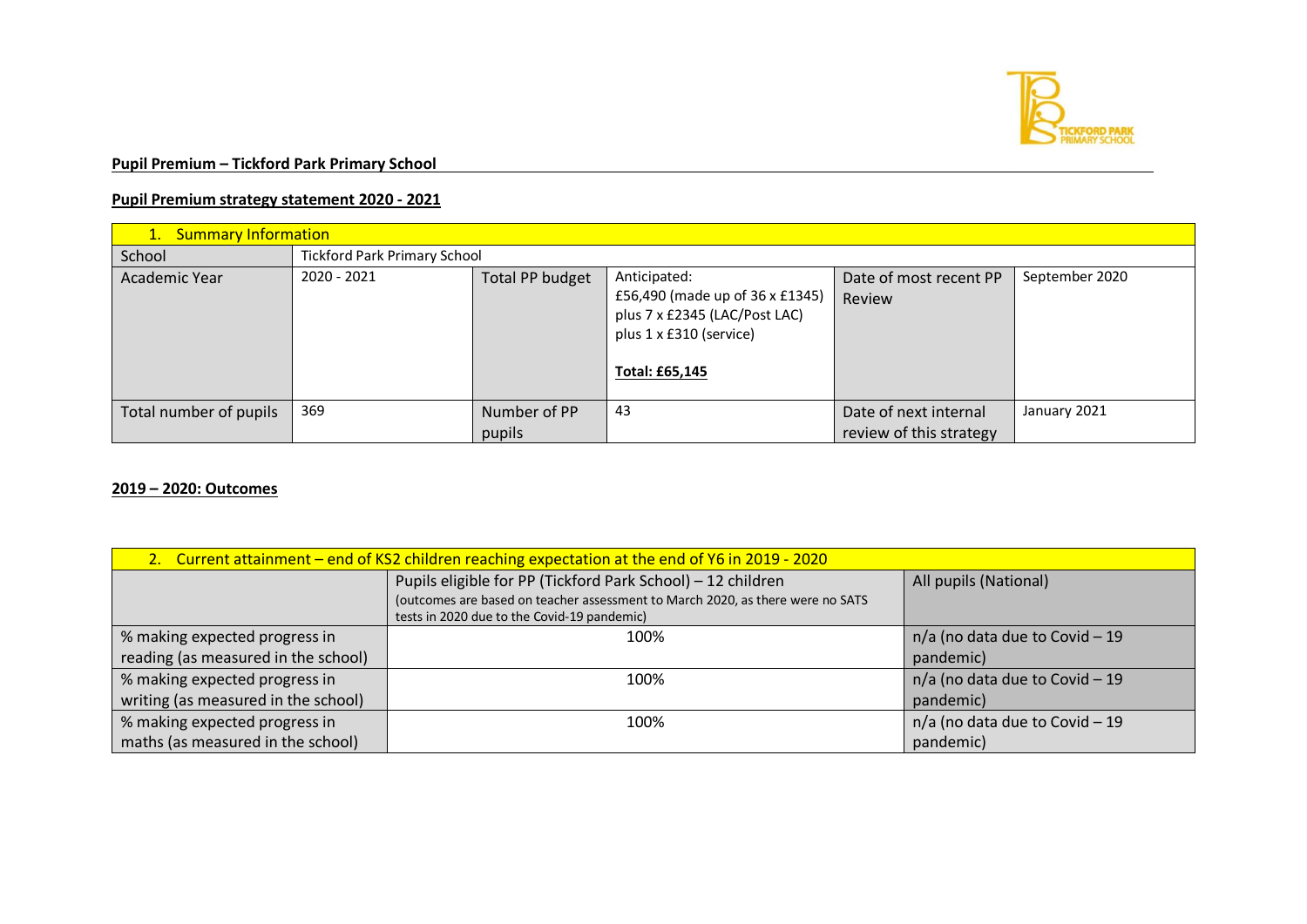

## **Pupil Premium – Tickford Park Primary School**

## **Pupil Premium strategy statement 2020 - 2021**

| 1. Summary Information |                                     |                 |                                                                                                                               |                                  |                |
|------------------------|-------------------------------------|-----------------|-------------------------------------------------------------------------------------------------------------------------------|----------------------------------|----------------|
| School                 | <b>Tickford Park Primary School</b> |                 |                                                                                                                               |                                  |                |
| Academic Year          | 2020 - 2021                         | Total PP budget | Anticipated:<br>£56,490 (made up of 36 x £1345)<br>plus 7 x £2345 (LAC/Post LAC)<br>plus 1 x £310 (service)<br>Total: £65,145 | Date of most recent PP<br>Review | September 2020 |
| Total number of pupils | 369                                 | Number of PP    | 43                                                                                                                            | Date of next internal            | January 2021   |
|                        |                                     | pupils          |                                                                                                                               | review of this strategy          |                |

## **2019 – 2020: Outcomes**

| 2. Current attainment – end of KS2 children reaching expectation at the end of Y6 in 2019 - 2020 |                                                                                |                                  |  |
|--------------------------------------------------------------------------------------------------|--------------------------------------------------------------------------------|----------------------------------|--|
|                                                                                                  | Pupils eligible for PP (Tickford Park School) - 12 children                    | All pupils (National)            |  |
|                                                                                                  | (outcomes are based on teacher assessment to March 2020, as there were no SATS |                                  |  |
|                                                                                                  | tests in 2020 due to the Covid-19 pandemic)                                    |                                  |  |
| % making expected progress in                                                                    | 100%                                                                           | $n/a$ (no data due to Covid - 19 |  |
| reading (as measured in the school)                                                              |                                                                                | pandemic)                        |  |
| % making expected progress in                                                                    | 100%                                                                           | $n/a$ (no data due to Covid - 19 |  |
| writing (as measured in the school)                                                              |                                                                                | pandemic)                        |  |
| % making expected progress in                                                                    | 100%                                                                           | $n/a$ (no data due to Covid - 19 |  |
| maths (as measured in the school)                                                                |                                                                                | pandemic)                        |  |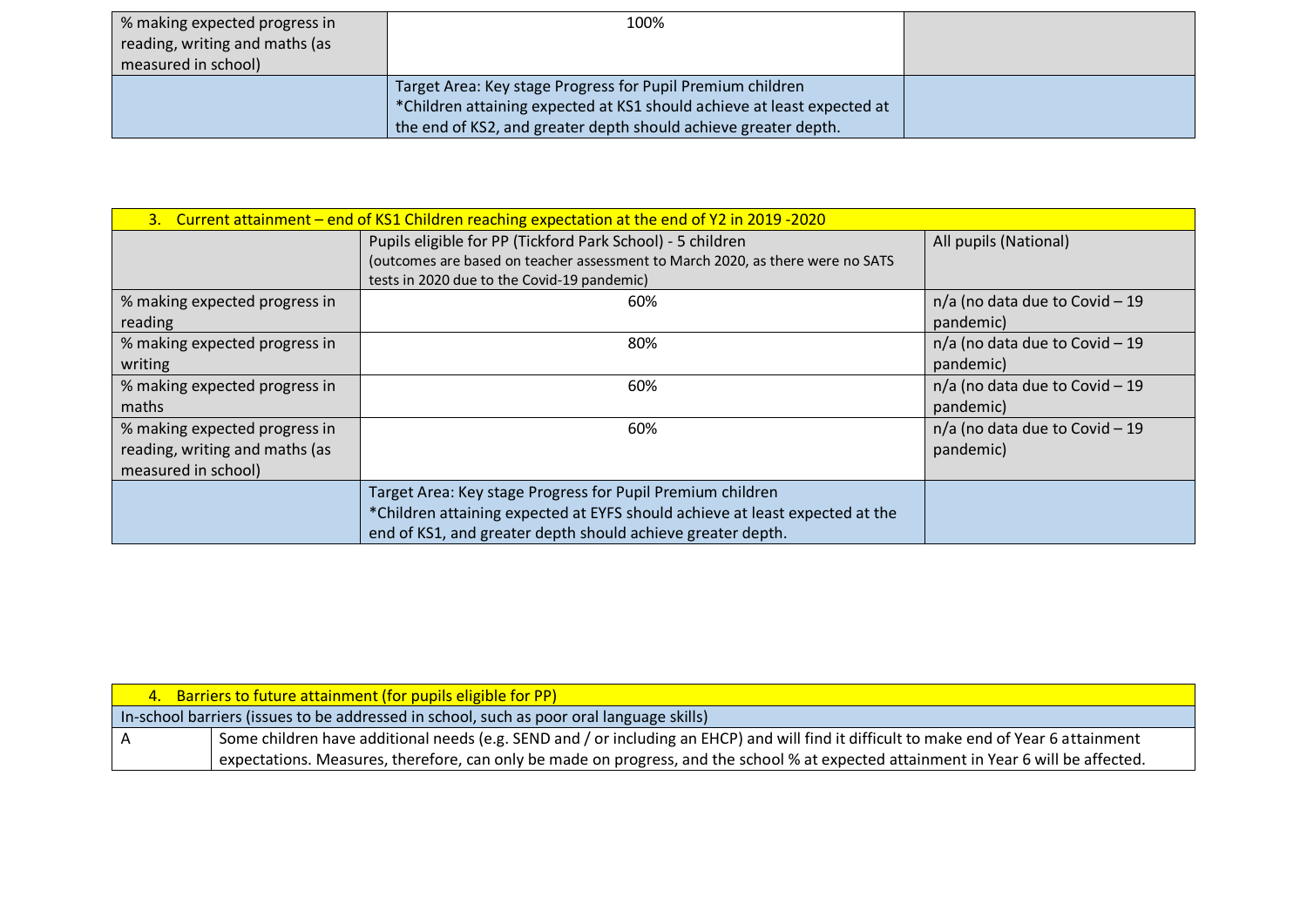| % making expected progress in<br>reading, writing and maths (as<br>measured in school) | 100%                                                                                                                                                                                                     |  |
|----------------------------------------------------------------------------------------|----------------------------------------------------------------------------------------------------------------------------------------------------------------------------------------------------------|--|
|                                                                                        | Target Area: Key stage Progress for Pupil Premium children<br>*Children attaining expected at KS1 should achieve at least expected at<br>the end of KS2, and greater depth should achieve greater depth. |  |

| 3. Current attainment – end of KS1 Children reaching expectation at the end of Y2 in 2019 -2020 |                                                                                                                                                                                                           |                                               |  |
|-------------------------------------------------------------------------------------------------|-----------------------------------------------------------------------------------------------------------------------------------------------------------------------------------------------------------|-----------------------------------------------|--|
|                                                                                                 | Pupils eligible for PP (Tickford Park School) - 5 children<br>(outcomes are based on teacher assessment to March 2020, as there were no SATS<br>tests in 2020 due to the Covid-19 pandemic)               | All pupils (National)                         |  |
| % making expected progress in<br>reading                                                        | 60%                                                                                                                                                                                                       | n/a (no data due to Covid - 19<br>pandemic)   |  |
| % making expected progress in<br>writing                                                        | 80%                                                                                                                                                                                                       | $n/a$ (no data due to Covid - 19<br>pandemic) |  |
| % making expected progress in<br>maths                                                          | 60%                                                                                                                                                                                                       | $n/a$ (no data due to Covid - 19<br>pandemic) |  |
| % making expected progress in<br>reading, writing and maths (as<br>measured in school)          | 60%                                                                                                                                                                                                       | $n/a$ (no data due to Covid - 19<br>pandemic) |  |
|                                                                                                 | Target Area: Key stage Progress for Pupil Premium children<br>*Children attaining expected at EYFS should achieve at least expected at the<br>end of KS1, and greater depth should achieve greater depth. |                                               |  |

| 4. Barriers to future attainment (for pupils eligible for PP)                                                                          |
|----------------------------------------------------------------------------------------------------------------------------------------|
| [In-school barriers (issues to be addressed in school, such as poor oral language skills)                                              |
| Some children have additional needs (e.g. SEND and / or including an EHCP) and will find it difficult to make end of Year 6 attainment |
| expectations. Measures, therefore, can only be made on progress, and the school % at expected attainment in Year 6 will be affected.   |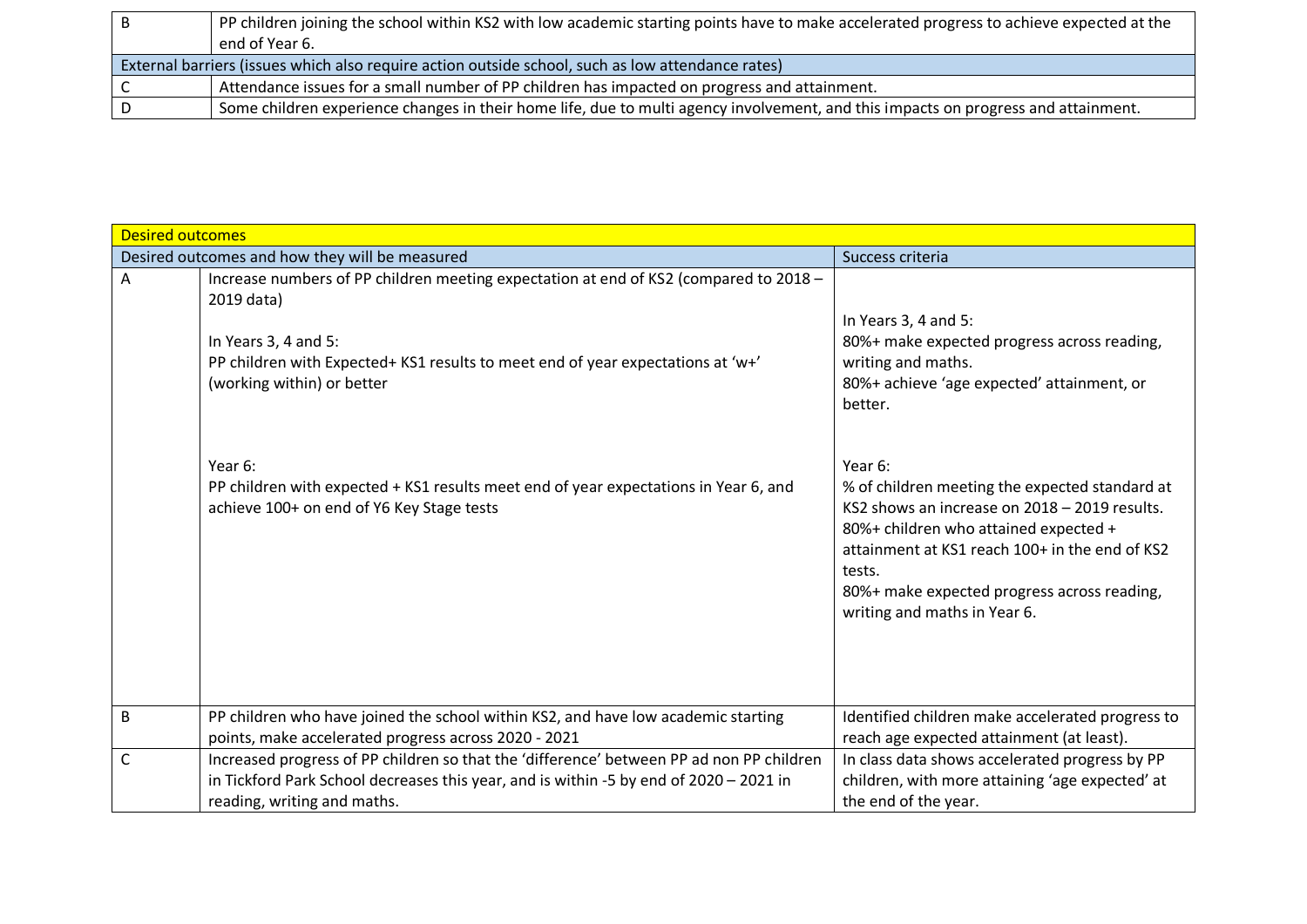|                                                                                                   | PP children joining the school within KS2 with low academic starting points have to make accelerated progress to achieve expected at the |  |
|---------------------------------------------------------------------------------------------------|------------------------------------------------------------------------------------------------------------------------------------------|--|
|                                                                                                   | end of Year 6.                                                                                                                           |  |
| External barriers (issues which also require action outside school, such as low attendance rates) |                                                                                                                                          |  |
|                                                                                                   | Attendance issues for a small number of PP children has impacted on progress and attainment.                                             |  |
|                                                                                                   | Some children experience changes in their home life, due to multi agency involvement, and this impacts on progress and attainment.       |  |

| <b>Desired outcomes</b> |                                                                                                                                                                                                                                                   |                                                                                                                                                                                                                                                                                                |
|-------------------------|---------------------------------------------------------------------------------------------------------------------------------------------------------------------------------------------------------------------------------------------------|------------------------------------------------------------------------------------------------------------------------------------------------------------------------------------------------------------------------------------------------------------------------------------------------|
|                         | Desired outcomes and how they will be measured                                                                                                                                                                                                    | Success criteria                                                                                                                                                                                                                                                                               |
| A                       | Increase numbers of PP children meeting expectation at end of KS2 (compared to 2018 -<br>2019 data)<br>In Years $3, 4$ and $5$ :<br>PP children with Expected+ KS1 results to meet end of year expectations at 'w+'<br>(working within) or better | In Years 3, 4 and 5:<br>80%+ make expected progress across reading,<br>writing and maths.<br>80%+ achieve 'age expected' attainment, or<br>better.                                                                                                                                             |
|                         | Year 6:<br>PP children with expected + KS1 results meet end of year expectations in Year 6, and<br>achieve 100+ on end of Y6 Key Stage tests                                                                                                      | Year 6:<br>% of children meeting the expected standard at<br>KS2 shows an increase on 2018 - 2019 results.<br>80%+ children who attained expected +<br>attainment at KS1 reach 100+ in the end of KS2<br>tests.<br>80%+ make expected progress across reading,<br>writing and maths in Year 6. |
| $\overline{B}$          | PP children who have joined the school within KS2, and have low academic starting                                                                                                                                                                 | Identified children make accelerated progress to                                                                                                                                                                                                                                               |
|                         | points, make accelerated progress across 2020 - 2021                                                                                                                                                                                              | reach age expected attainment (at least).                                                                                                                                                                                                                                                      |
| $\mathsf{C}$            | Increased progress of PP children so that the 'difference' between PP ad non PP children<br>in Tickford Park School decreases this year, and is within -5 by end of 2020 - 2021 in<br>reading, writing and maths.                                 | In class data shows accelerated progress by PP<br>children, with more attaining 'age expected' at<br>the end of the year.                                                                                                                                                                      |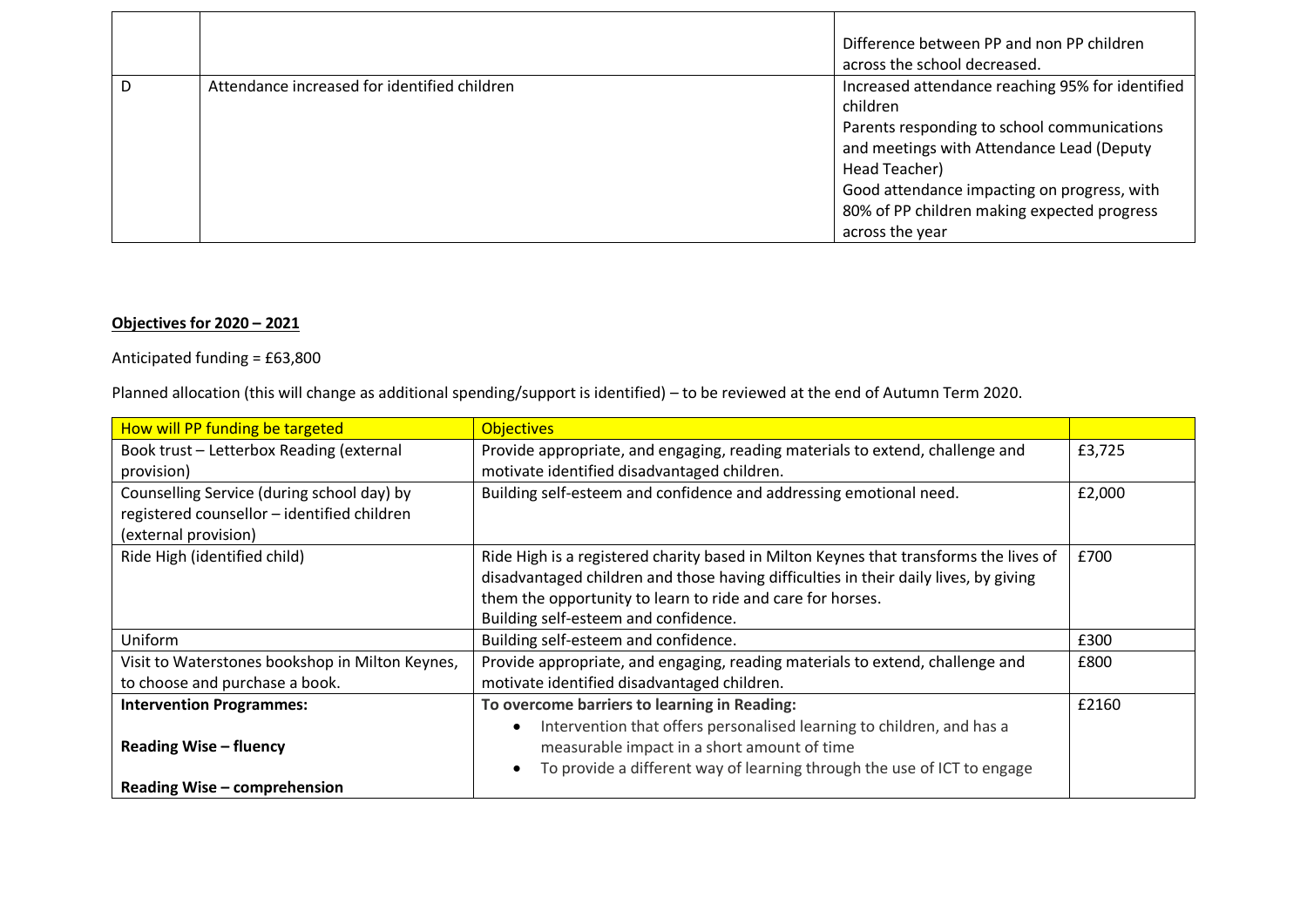|   |                                              | Difference between PP and non PP children<br>across the school decreased.                                                                                                                                                  |
|---|----------------------------------------------|----------------------------------------------------------------------------------------------------------------------------------------------------------------------------------------------------------------------------|
| D | Attendance increased for identified children | Increased attendance reaching 95% for identified<br>children                                                                                                                                                               |
|   |                                              | Parents responding to school communications<br>and meetings with Attendance Lead (Deputy<br>Head Teacher)<br>Good attendance impacting on progress, with<br>80% of PP children making expected progress<br>across the year |

## **Objectives for 2020 – 2021**

 $\blacksquare$ 

Anticipated funding = £63,800

Planned allocation (this will change as additional spending/support is identified) – to be reviewed at the end of Autumn Term 2020.

| How will PP funding be targeted                 | <b>Objectives</b>                                                                     |        |
|-------------------------------------------------|---------------------------------------------------------------------------------------|--------|
| Book trust - Letterbox Reading (external        | Provide appropriate, and engaging, reading materials to extend, challenge and         | £3,725 |
| provision)                                      | motivate identified disadvantaged children.                                           |        |
| Counselling Service (during school day) by      | Building self-esteem and confidence and addressing emotional need.                    | £2,000 |
| registered counsellor - identified children     |                                                                                       |        |
| (external provision)                            |                                                                                       |        |
| Ride High (identified child)                    | Ride High is a registered charity based in Milton Keynes that transforms the lives of | £700   |
|                                                 | disadvantaged children and those having difficulties in their daily lives, by giving  |        |
|                                                 | them the opportunity to learn to ride and care for horses.                            |        |
|                                                 | Building self-esteem and confidence.                                                  |        |
| Uniform                                         | Building self-esteem and confidence.                                                  | £300   |
| Visit to Waterstones bookshop in Milton Keynes, | Provide appropriate, and engaging, reading materials to extend, challenge and         | £800   |
| to choose and purchase a book.                  | motivate identified disadvantaged children.                                           |        |
| <b>Intervention Programmes:</b>                 | To overcome barriers to learning in Reading:                                          | £2160  |
|                                                 | Intervention that offers personalised learning to children, and has a                 |        |
| <b>Reading Wise - fluency</b>                   | measurable impact in a short amount of time                                           |        |
|                                                 | To provide a different way of learning through the use of ICT to engage               |        |
| Reading Wise - comprehension                    |                                                                                       |        |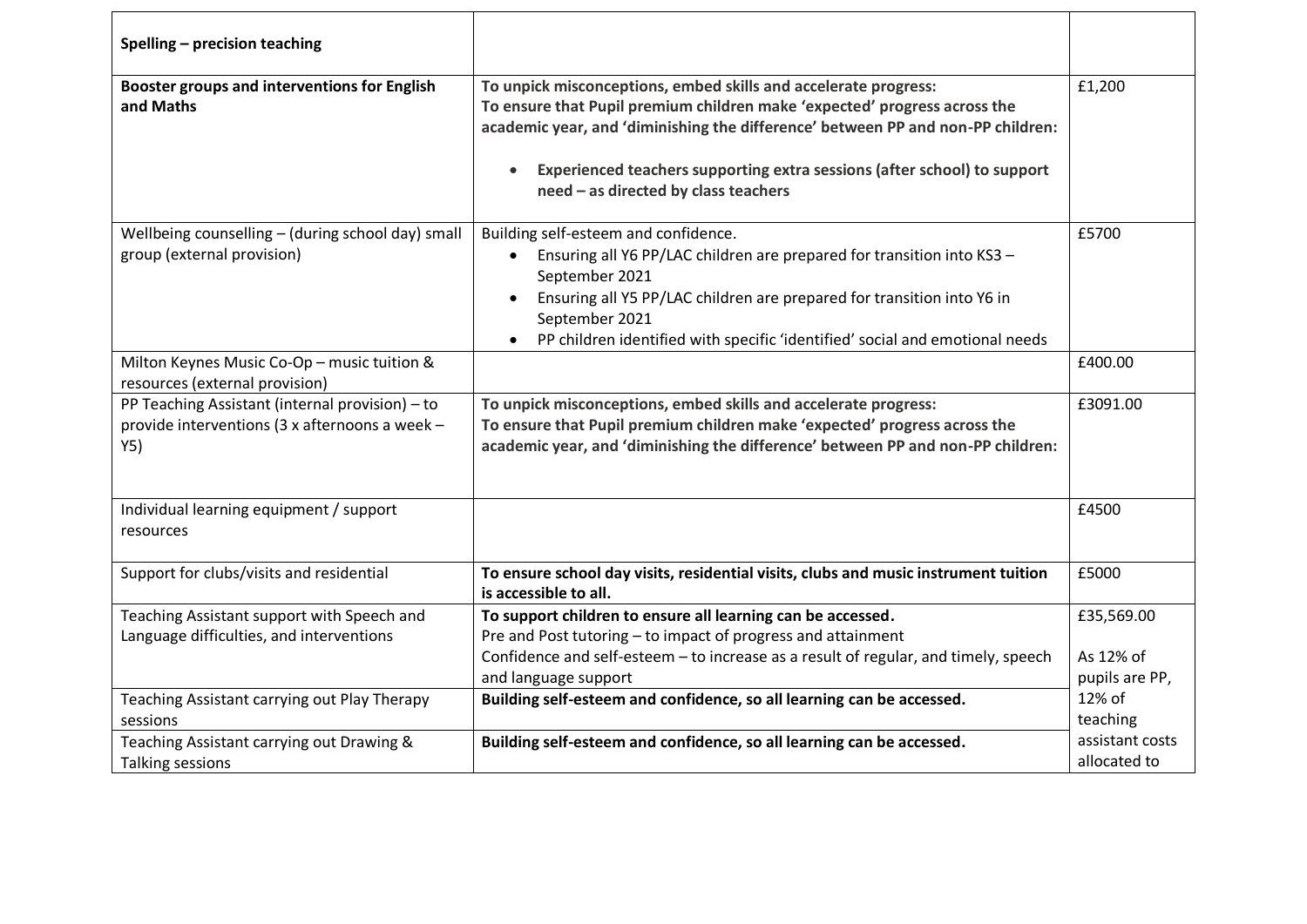| Spelling - precision teaching                                                                            |                                                                                                                                                                                                                                                                                                                                                     |                                           |
|----------------------------------------------------------------------------------------------------------|-----------------------------------------------------------------------------------------------------------------------------------------------------------------------------------------------------------------------------------------------------------------------------------------------------------------------------------------------------|-------------------------------------------|
| <b>Booster groups and interventions for English</b><br>and Maths                                         | To unpick misconceptions, embed skills and accelerate progress:<br>To ensure that Pupil premium children make 'expected' progress across the<br>academic year, and 'diminishing the difference' between PP and non-PP children:<br>Experienced teachers supporting extra sessions (after school) to support<br>need - as directed by class teachers | £1,200                                    |
| Wellbeing counselling - (during school day) small<br>group (external provision)                          | Building self-esteem and confidence.<br>Ensuring all Y6 PP/LAC children are prepared for transition into KS3 -<br>September 2021<br>Ensuring all Y5 PP/LAC children are prepared for transition into Y6 in<br>September 2021<br>PP children identified with specific 'identified' social and emotional needs                                        | £5700                                     |
| Milton Keynes Music Co-Op - music tuition &<br>resources (external provision)                            |                                                                                                                                                                                                                                                                                                                                                     | £400.00                                   |
| PP Teaching Assistant (internal provision) - to<br>provide interventions (3 x afternoons a week -<br>Y5) | To unpick misconceptions, embed skills and accelerate progress:<br>To ensure that Pupil premium children make 'expected' progress across the<br>academic year, and 'diminishing the difference' between PP and non-PP children:                                                                                                                     | £3091.00                                  |
| Individual learning equipment / support<br>resources                                                     |                                                                                                                                                                                                                                                                                                                                                     | £4500                                     |
| Support for clubs/visits and residential                                                                 | To ensure school day visits, residential visits, clubs and music instrument tuition<br>is accessible to all.                                                                                                                                                                                                                                        | £5000                                     |
| Teaching Assistant support with Speech and<br>Language difficulties, and interventions                   | To support children to ensure all learning can be accessed.<br>Pre and Post tutoring - to impact of progress and attainment<br>Confidence and self-esteem - to increase as a result of regular, and timely, speech<br>and language support                                                                                                          | £35,569.00<br>As 12% of<br>pupils are PP, |
| Teaching Assistant carrying out Play Therapy<br>sessions                                                 | Building self-esteem and confidence, so all learning can be accessed.                                                                                                                                                                                                                                                                               | 12% of<br>teaching                        |
| Teaching Assistant carrying out Drawing &<br><b>Talking sessions</b>                                     | Building self-esteem and confidence, so all learning can be accessed.                                                                                                                                                                                                                                                                               | assistant costs<br>allocated to           |